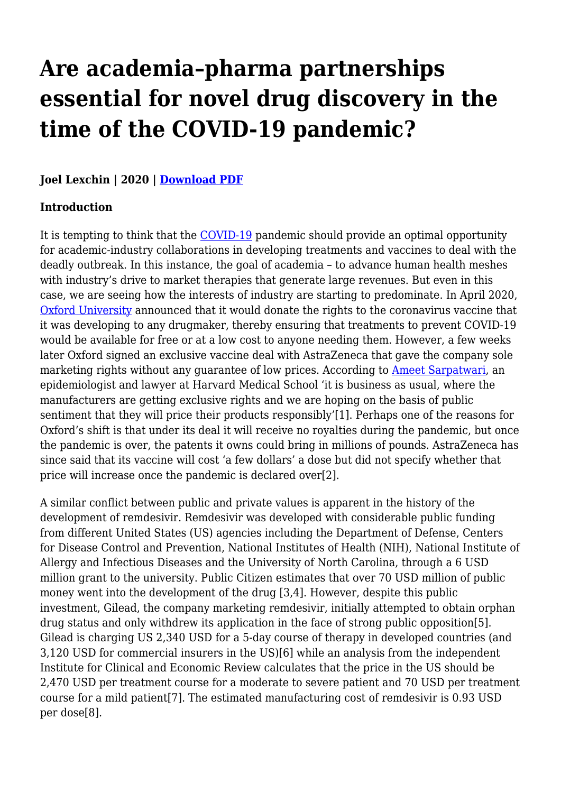# **Are academia–pharma partnerships essential for novel drug discovery in the time of the COVID-19 pandemic?**

#### **Joel Lexchin | 2020 | [Download PDF](https://haiweb.org/wp-content/uploads/2021/01/Dutch-GPs-call-for-ban-on-Novartis-products_BMJ_17-August-2002.pdf)**

#### **Introduction**

It is tempting to think that the [COVID-19](https://haiweb.org/covid-19-health-systems/) pandemic should provide an optimal opportunity for academic-industry collaborations in developing treatments and vaccines to deal with the deadly outbreak. In this instance, the goal of academia – to advance human health meshes with industry's drive to market therapies that generate large revenues. But even in this case, we are seeing how the interests of industry are starting to predominate. In April 2020, [Oxford University](https://www.ox.ac.uk/) announced that it would donate the rights to the coronavirus vaccine that it was developing to any drugmaker, thereby ensuring that treatments to prevent COVID-19 would be available for free or at a low cost to anyone needing them. However, a few weeks later Oxford signed an exclusive vaccine deal with AstraZeneca that gave the company sole marketing rights without any guarantee of low prices. According to [Ameet Sarpatwari,](https://bioethics.hms.harvard.edu/faculty-staff/ameet-sarpatwari) an epidemiologist and lawyer at Harvard Medical School 'it is business as usual, where the manufacturers are getting exclusive rights and we are hoping on the basis of public sentiment that they will price their products responsibly'[1]. Perhaps one of the reasons for Oxford's shift is that under its deal it will receive no royalties during the pandemic, but once the pandemic is over, the patents it owns could bring in millions of pounds. AstraZeneca has since said that its vaccine will cost 'a few dollars' a dose but did not specify whether that price will increase once the pandemic is declared over[2].

A similar conflict between public and private values is apparent in the history of the development of remdesivir. Remdesivir was developed with considerable public funding from different United States (US) agencies including the Department of Defense, Centers for Disease Control and Prevention, National Institutes of Health (NIH), National Institute of Allergy and Infectious Diseases and the University of North Carolina, through a 6 USD million grant to the university. Public Citizen estimates that over 70 USD million of public money went into the development of the drug [3,4]. However, despite this public investment, Gilead, the company marketing remdesivir, initially attempted to obtain orphan drug status and only withdrew its application in the face of strong public opposition[5]. Gilead is charging US 2,340 USD for a 5-day course of therapy in developed countries (and 3,120 USD for commercial insurers in the US)[6] while an analysis from the independent Institute for Clinical and Economic Review calculates that the price in the US should be 2,470 USD per treatment course for a moderate to severe patient and 70 USD per treatment course for a mild patient[7]. The estimated manufacturing cost of remdesivir is 0.93 USD per dose[8].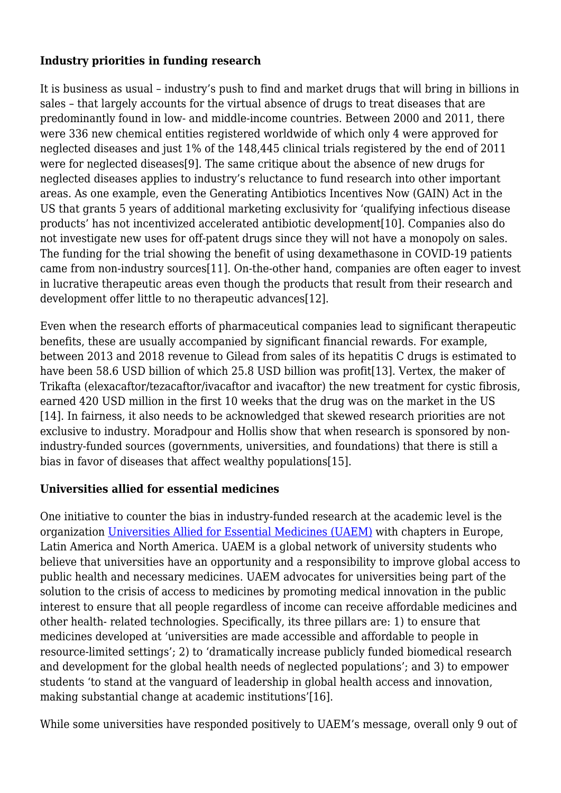#### **Industry priorities in funding research**

It is business as usual – industry's push to find and market drugs that will bring in billions in sales – that largely accounts for the virtual absence of drugs to treat diseases that are predominantly found in low- and middle-income countries. Between 2000 and 2011, there were 336 new chemical entities registered worldwide of which only 4 were approved for neglected diseases and just 1% of the 148,445 clinical trials registered by the end of 2011 were for neglected diseases[9]. The same critique about the absence of new drugs for neglected diseases applies to industry's reluctance to fund research into other important areas. As one example, even the Generating Antibiotics Incentives Now (GAIN) Act in the US that grants 5 years of additional marketing exclusivity for 'qualifying infectious disease products' has not incentivized accelerated antibiotic development[10]. Companies also do not investigate new uses for off-patent drugs since they will not have a monopoly on sales. The funding for the trial showing the benefit of using dexamethasone in COVID-19 patients came from non-industry sources[11]. On-the-other hand, companies are often eager to invest in lucrative therapeutic areas even though the products that result from their research and development offer little to no therapeutic advances[12].

Even when the research efforts of pharmaceutical companies lead to significant therapeutic benefits, these are usually accompanied by significant financial rewards. For example, between 2013 and 2018 revenue to Gilead from sales of its hepatitis C drugs is estimated to have been 58.6 USD billion of which 25.8 USD billion was profit[13]. Vertex, the maker of Trikafta (elexacaftor/tezacaftor/ivacaftor and ivacaftor) the new treatment for cystic fibrosis, earned 420 USD million in the first 10 weeks that the drug was on the market in the US [14]. In fairness, it also needs to be acknowledged that skewed research priorities are not exclusive to industry. Moradpour and Hollis show that when research is sponsored by nonindustry-funded sources (governments, universities, and foundations) that there is still a bias in favor of diseases that affect wealthy populations[15].

#### **Universities allied for essential medicines**

One initiative to counter the bias in industry-funded research at the academic level is the organization [Universities Allied for Essential Medicines \(UAEM\)](https://www.uaem.org/activists_demand_a_peoples_vaccine?splash=1) with chapters in Europe, Latin America and North America. UAEM is a global network of university students who believe that universities have an opportunity and a responsibility to improve global access to public health and necessary medicines. UAEM advocates for universities being part of the solution to the crisis of access to medicines by promoting medical innovation in the public interest to ensure that all people regardless of income can receive affordable medicines and other health- related technologies. Specifically, its three pillars are: 1) to ensure that medicines developed at 'universities are made accessible and affordable to people in resource-limited settings'; 2) to 'dramatically increase publicly funded biomedical research and development for the global health needs of neglected populations'; and 3) to empower students 'to stand at the vanguard of leadership in global health access and innovation, making substantial change at academic institutions'[16].

While some universities have responded positively to UAEM's message, overall only 9 out of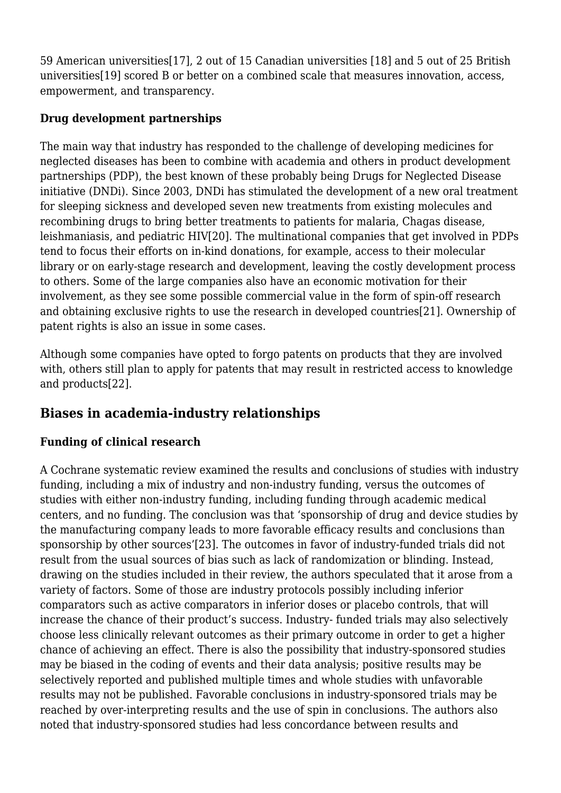59 American universities[17], 2 out of 15 Canadian universities [18] and 5 out of 25 British universities[19] scored B or better on a combined scale that measures innovation, access, empowerment, and transparency.

## **Drug development partnerships**

The main way that industry has responded to the challenge of developing medicines for neglected diseases has been to combine with academia and others in product development partnerships (PDP), the best known of these probably being Drugs for Neglected Disease initiative (DNDi). Since 2003, DNDi has stimulated the development of a new oral treatment for sleeping sickness and developed seven new treatments from existing molecules and recombining drugs to bring better treatments to patients for malaria, Chagas disease, leishmaniasis, and pediatric HIV[20]. The multinational companies that get involved in PDPs tend to focus their efforts on in-kind donations, for example, access to their molecular library or on early-stage research and development, leaving the costly development process to others. Some of the large companies also have an economic motivation for their involvement, as they see some possible commercial value in the form of spin-off research and obtaining exclusive rights to use the research in developed countries[21]. Ownership of patent rights is also an issue in some cases.

Although some companies have opted to forgo patents on products that they are involved with, others still plan to apply for patents that may result in restricted access to knowledge and products[22].

# **Biases in academia-industry relationships**

# **Funding of clinical research**

A Cochrane systematic review examined the results and conclusions of studies with industry funding, including a mix of industry and non-industry funding, versus the outcomes of studies with either non-industry funding, including funding through academic medical centers, and no funding. The conclusion was that 'sponsorship of drug and device studies by the manufacturing company leads to more favorable efficacy results and conclusions than sponsorship by other sources'[23]. The outcomes in favor of industry-funded trials did not result from the usual sources of bias such as lack of randomization or blinding. Instead, drawing on the studies included in their review, the authors speculated that it arose from a variety of factors. Some of those are industry protocols possibly including inferior comparators such as active comparators in inferior doses or placebo controls, that will increase the chance of their product's success. Industry- funded trials may also selectively choose less clinically relevant outcomes as their primary outcome in order to get a higher chance of achieving an effect. There is also the possibility that industry-sponsored studies may be biased in the coding of events and their data analysis; positive results may be selectively reported and published multiple times and whole studies with unfavorable results may not be published. Favorable conclusions in industry-sponsored trials may be reached by over-interpreting results and the use of spin in conclusions. The authors also noted that industry-sponsored studies had less concordance between results and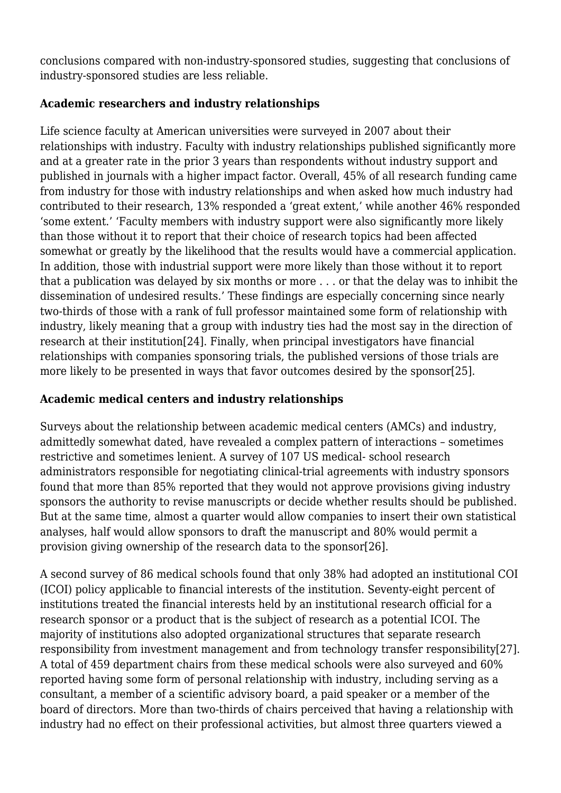conclusions compared with non-industry-sponsored studies, suggesting that conclusions of industry-sponsored studies are less reliable.

#### **Academic researchers and industry relationships**

Life science faculty at American universities were surveyed in 2007 about their relationships with industry. Faculty with industry relationships published significantly more and at a greater rate in the prior 3 years than respondents without industry support and published in journals with a higher impact factor. Overall, 45% of all research funding came from industry for those with industry relationships and when asked how much industry had contributed to their research, 13% responded a 'great extent,' while another 46% responded 'some extent.' 'Faculty members with industry support were also significantly more likely than those without it to report that their choice of research topics had been affected somewhat or greatly by the likelihood that the results would have a commercial application. In addition, those with industrial support were more likely than those without it to report that a publication was delayed by six months or more . . . or that the delay was to inhibit the dissemination of undesired results.' These findings are especially concerning since nearly two-thirds of those with a rank of full professor maintained some form of relationship with industry, likely meaning that a group with industry ties had the most say in the direction of research at their institution[24]. Finally, when principal investigators have financial relationships with companies sponsoring trials, the published versions of those trials are more likely to be presented in ways that favor outcomes desired by the sponsor[25].

# **Academic medical centers and industry relationships**

Surveys about the relationship between academic medical centers (AMCs) and industry, admittedly somewhat dated, have revealed a complex pattern of interactions – sometimes restrictive and sometimes lenient. A survey of 107 US medical- school research administrators responsible for negotiating clinical-trial agreements with industry sponsors found that more than 85% reported that they would not approve provisions giving industry sponsors the authority to revise manuscripts or decide whether results should be published. But at the same time, almost a quarter would allow companies to insert their own statistical analyses, half would allow sponsors to draft the manuscript and 80% would permit a provision giving ownership of the research data to the sponsor[26].

A second survey of 86 medical schools found that only 38% had adopted an institutional COI (ICOI) policy applicable to financial interests of the institution. Seventy-eight percent of institutions treated the financial interests held by an institutional research official for a research sponsor or a product that is the subject of research as a potential ICOI. The majority of institutions also adopted organizational structures that separate research responsibility from investment management and from technology transfer responsibility[27]. A total of 459 department chairs from these medical schools were also surveyed and 60% reported having some form of personal relationship with industry, including serving as a consultant, a member of a scientific advisory board, a paid speaker or a member of the board of directors. More than two-thirds of chairs perceived that having a relationship with industry had no effect on their professional activities, but almost three quarters viewed a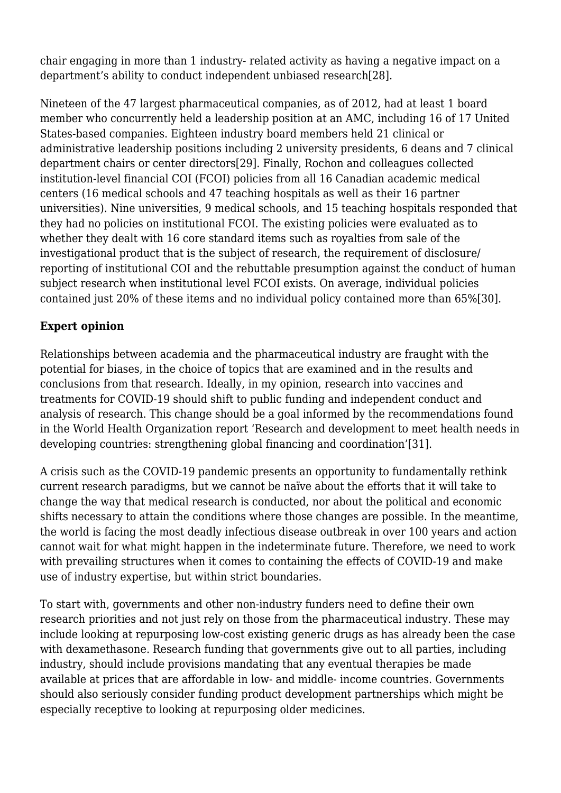chair engaging in more than 1 industry- related activity as having a negative impact on a department's ability to conduct independent unbiased research[28].

Nineteen of the 47 largest pharmaceutical companies, as of 2012, had at least 1 board member who concurrently held a leadership position at an AMC, including 16 of 17 United States-based companies. Eighteen industry board members held 21 clinical or administrative leadership positions including 2 university presidents, 6 deans and 7 clinical department chairs or center directors[29]. Finally, Rochon and colleagues collected institution-level financial COI (FCOI) policies from all 16 Canadian academic medical centers (16 medical schools and 47 teaching hospitals as well as their 16 partner universities). Nine universities, 9 medical schools, and 15 teaching hospitals responded that they had no policies on institutional FCOI. The existing policies were evaluated as to whether they dealt with 16 core standard items such as royalties from sale of the investigational product that is the subject of research, the requirement of disclosure/ reporting of institutional COI and the rebuttable presumption against the conduct of human subject research when institutional level FCOI exists. On average, individual policies contained just 20% of these items and no individual policy contained more than 65%[30].

#### **Expert opinion**

Relationships between academia and the pharmaceutical industry are fraught with the potential for biases, in the choice of topics that are examined and in the results and conclusions from that research. Ideally, in my opinion, research into vaccines and treatments for COVID-19 should shift to public funding and independent conduct and analysis of research. This change should be a goal informed by the recommendations found in the World Health Organization report 'Research and development to meet health needs in developing countries: strengthening global financing and coordination'[31].

A crisis such as the COVID-19 pandemic presents an opportunity to fundamentally rethink current research paradigms, but we cannot be naïve about the efforts that it will take to change the way that medical research is conducted, nor about the political and economic shifts necessary to attain the conditions where those changes are possible. In the meantime, the world is facing the most deadly infectious disease outbreak in over 100 years and action cannot wait for what might happen in the indeterminate future. Therefore, we need to work with prevailing structures when it comes to containing the effects of COVID-19 and make use of industry expertise, but within strict boundaries.

To start with, governments and other non-industry funders need to define their own research priorities and not just rely on those from the pharmaceutical industry. These may include looking at repurposing low-cost existing generic drugs as has already been the case with dexamethasone. Research funding that governments give out to all parties, including industry, should include provisions mandating that any eventual therapies be made available at prices that are affordable in low- and middle- income countries. Governments should also seriously consider funding product development partnerships which might be especially receptive to looking at repurposing older medicines.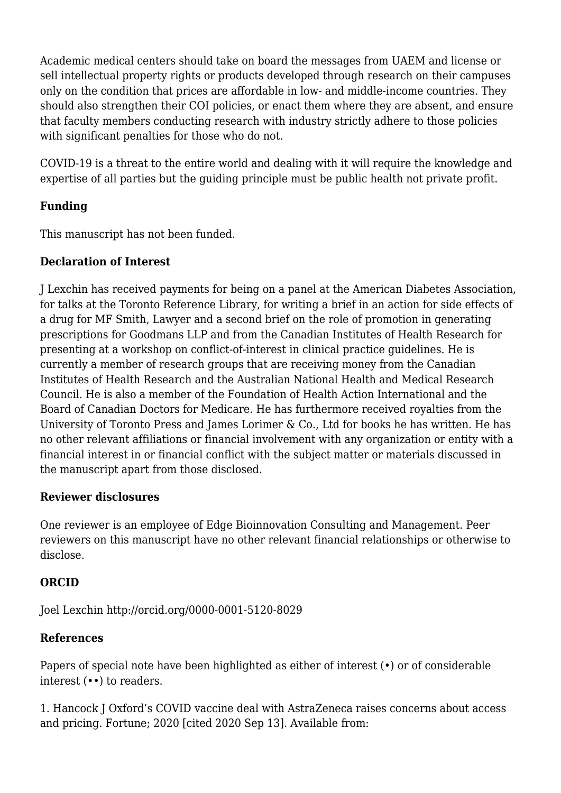Academic medical centers should take on board the messages from UAEM and license or sell intellectual property rights or products developed through research on their campuses only on the condition that prices are affordable in low- and middle-income countries. They should also strengthen their COI policies, or enact them where they are absent, and ensure that faculty members conducting research with industry strictly adhere to those policies with significant penalties for those who do not.

COVID-19 is a threat to the entire world and dealing with it will require the knowledge and expertise of all parties but the guiding principle must be public health not private profit.

## **Funding**

This manuscript has not been funded.

#### **Declaration of Interest**

J Lexchin has received payments for being on a panel at the American Diabetes Association, for talks at the Toronto Reference Library, for writing a brief in an action for side effects of a drug for MF Smith, Lawyer and a second brief on the role of promotion in generating prescriptions for Goodmans LLP and from the Canadian Institutes of Health Research for presenting at a workshop on conflict-of-interest in clinical practice guidelines. He is currently a member of research groups that are receiving money from the Canadian Institutes of Health Research and the Australian National Health and Medical Research Council. He is also a member of the Foundation of Health Action International and the Board of Canadian Doctors for Medicare. He has furthermore received royalties from the University of Toronto Press and James Lorimer & Co., Ltd for books he has written. He has no other relevant affiliations or financial involvement with any organization or entity with a financial interest in or financial conflict with the subject matter or materials discussed in the manuscript apart from those disclosed.

#### **Reviewer disclosures**

One reviewer is an employee of Edge Bioinnovation Consulting and Management. Peer reviewers on this manuscript have no other relevant financial relationships or otherwise to disclose.

#### **ORCID**

Joel Lexchin http://orcid.org/0000-0001-5120-8029

#### **References**

Papers of special note have been highlighted as either of interest ( $\bullet$ ) or of considerable interest (••) to readers.

1. Hancock J Oxford's COVID vaccine deal with AstraZeneca raises concerns about access and pricing. Fortune; 2020 [cited 2020 Sep 13]. Available from: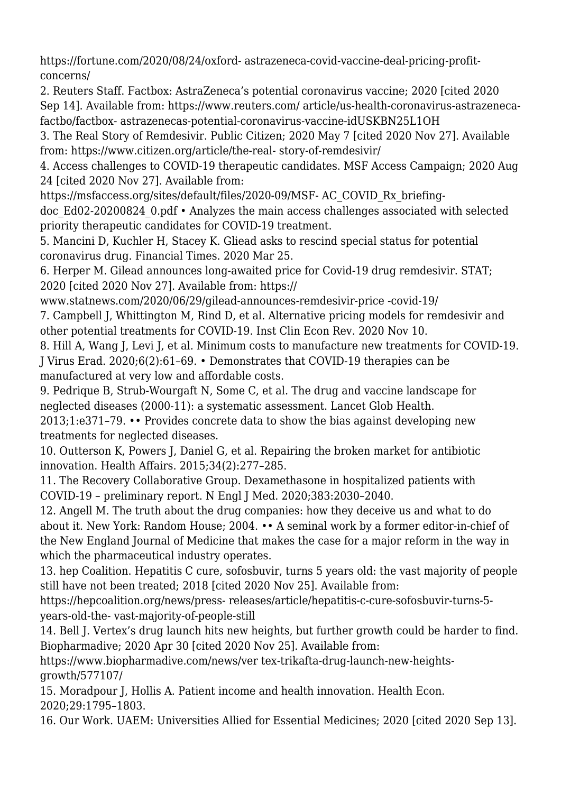https://fortune.com/2020/08/24/oxford- astrazeneca-covid-vaccine-deal-pricing-profitconcerns/

2. Reuters Staff. Factbox: AstraZeneca's potential coronavirus vaccine; 2020 [cited 2020 Sep 14]. Available from: https://www.reuters.com/ article/us-health-coronavirus-astrazenecafactbo/factbox- astrazenecas-potential-coronavirus-vaccine-idUSKBN25L1OH

3. The Real Story of Remdesivir. Public Citizen; 2020 May 7 [cited 2020 Nov 27]. Available from: https://www.citizen.org/article/the-real- story-of-remdesivir/

4. Access challenges to COVID-19 therapeutic candidates. MSF Access Campaign; 2020 Aug 24 [cited 2020 Nov 27]. Available from:

https://msfaccess.org/sites/default/files/2020-09/MSF- AC\_COVID\_Rx\_briefing-

doc\_Ed02-20200824\_0.pdf • Analyzes the main access challenges associated with selected priority therapeutic candidates for COVID-19 treatment.

5. Mancini D, Kuchler H, Stacey K. Gliead asks to rescind special status for potential coronavirus drug. Financial Times. 2020 Mar 25.

6. Herper M. Gilead announces long-awaited price for Covid-19 drug remdesivir. STAT; 2020 [cited 2020 Nov 27]. Available from: https://

www.statnews.com/2020/06/29/gilead-announces-remdesivir-price -covid-19/

7. Campbell J, Whittington M, Rind D, et al. Alternative pricing models for remdesivir and other potential treatments for COVID-19. Inst Clin Econ Rev. 2020 Nov 10.

8. Hill A, Wang J, Levi J, et al. Minimum costs to manufacture new treatments for COVID-19. J Virus Erad. 2020;6(2):61–69. • Demonstrates that COVID-19 therapies can be manufactured at very low and affordable costs.

9. Pedrique B, Strub-Wourgaft N, Some C, et al. The drug and vaccine landscape for neglected diseases (2000-11): a systematic assessment. Lancet Glob Health.

2013;1:e371–79. •• Provides concrete data to show the bias against developing new treatments for neglected diseases.

10. Outterson K, Powers J, Daniel G, et al. Repairing the broken market for antibiotic innovation. Health Affairs. 2015;34(2):277–285.

11. The Recovery Collaborative Group. Dexamethasone in hospitalized patients with COVID-19 – preliminary report. N Engl J Med. 2020;383:2030–2040.

12. Angell M. The truth about the drug companies: how they deceive us and what to do about it. New York: Random House; 2004. •• A seminal work by a former editor-in-chief of the New England Journal of Medicine that makes the case for a major reform in the way in which the pharmaceutical industry operates.

13. hep Coalition. Hepatitis C cure, sofosbuvir, turns 5 years old: the vast majority of people still have not been treated; 2018 [cited 2020 Nov 25]. Available from:

https://hepcoalition.org/news/press- releases/article/hepatitis-c-cure-sofosbuvir-turns-5 years-old-the- vast-majority-of-people-still

14. Bell J. Vertex's drug launch hits new heights, but further growth could be harder to find. Biopharmadive; 2020 Apr 30 [cited 2020 Nov 25]. Available from:

https://www.biopharmadive.com/news/ver tex-trikafta-drug-launch-new-heightsgrowth/577107/

15. Moradpour J, Hollis A. Patient income and health innovation. Health Econ. 2020;29:1795–1803.

16. Our Work. UAEM: Universities Allied for Essential Medicines; 2020 [cited 2020 Sep 13].